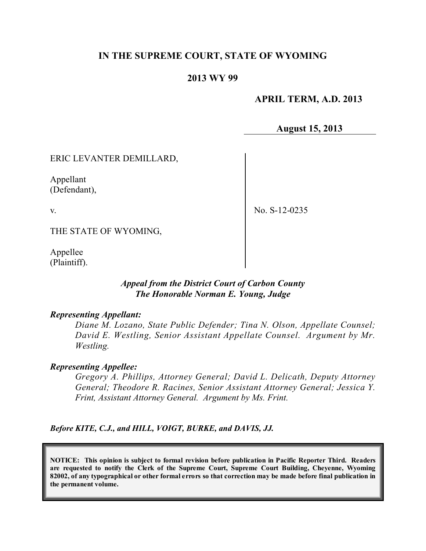# **IN THE SUPREME COURT, STATE OF WYOMING**

## **2013 WY 99**

### **APRIL TERM, A.D. 2013**

**August 15, 2013**

### ERIC LEVANTER DEMILLARD,

Appellant (Defendant),

v.

No. S-12-0235

THE STATE OF WYOMING,

Appellee (Plaintiff).

### *Appeal from the District Court of Carbon County The Honorable Norman E. Young, Judge*

#### *Representing Appellant:*

*Diane M. Lozano, State Public Defender; Tina N. Olson, Appellate Counsel; David E. Westling, Senior Assistant Appellate Counsel. Argument by Mr. Westling.*

#### *Representing Appellee:*

*Gregory A. Phillips, Attorney General; David L. Delicath, Deputy Attorney General; Theodore R. Racines, Senior Assistant Attorney General; Jessica Y. Frint, Assistant Attorney General. Argument by Ms. Frint.*

*Before KITE, C.J., and HILL, VOIGT, BURKE, and DAVIS, JJ.*

**NOTICE: This opinion is subject to formal revision before publication in Pacific Reporter Third. Readers are requested to notify the Clerk of the Supreme Court, Supreme Court Building, Cheyenne, Wyoming** 82002, of any typographical or other formal errors so that correction may be made before final publication in **the permanent volume.**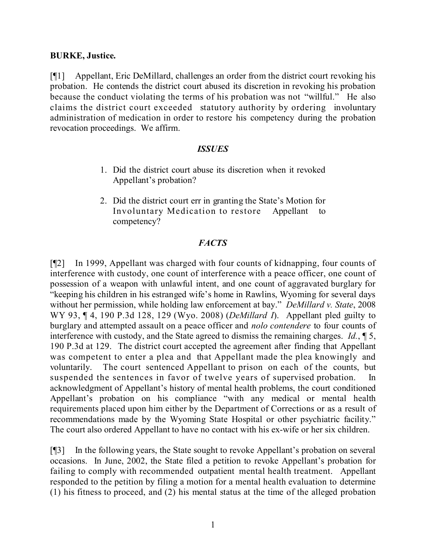## **BURKE, Justice.**

[¶1] Appellant, Eric DeMillard, challenges an order from the district court revoking his probation. He contends the district court abused its discretion in revoking his probation because the conduct violating the terms of his probation was not "willful." He also claims the district court exceeded statutory authority by ordering involuntary administration of medication in order to restore his competency during the probation revocation proceedings. We affirm.

### *ISSUES*

- 1. Did the district court abuse its discretion when it revoked Appellant's probation?
- 2. Did the district court err in granting the State's Motion for Involuntary Medication to restore Appellant to competency?

## *FACTS*

[¶2] In 1999, Appellant was charged with four counts of kidnapping, four counts of interference with custody, one count of interference with a peace officer, one count of possession of a weapon with unlawful intent, and one count of aggravated burglary for "keeping his children in his estranged wife's home in Rawlins, Wyoming for several days without her permission, while holding law enforcement at bay." *DeMillard v. State*, 2008 WY 93, ¶ 4, 190 P.3d 128, 129 (Wyo. 2008) (*DeMillard I*). Appellant pled guilty to burglary and attempted assault on a peace officer and *nolo contendere* to four counts of interference with custody, and the State agreed to dismiss the remaining charges. *Id.*, ¶ 5, 190 P.3d at 129. The district court accepted the agreement after finding that Appellant was competent to enter a plea and that Appellant made the plea knowingly and voluntarily. The court sentenced Appellant to prison on each of the counts, but suspended the sentences in favor of twelve years of supervised probation. In acknowledgment of Appellant's history of mental health problems, the court conditioned Appellant's probation on his compliance "with any medical or mental health requirements placed upon him either by the Department of Corrections or as a result of recommendations made by the Wyoming State Hospital or other psychiatric facility." The court also ordered Appellant to have no contact with his ex-wife or her six children.

[¶3] In the following years, the State sought to revoke Appellant's probation on several occasions. In June, 2002, the State filed a petition to revoke Appellant's probation for failing to comply with recommended outpatient mental health treatment. Appellant responded to the petition by filing a motion for a mental health evaluation to determine (1) his fitness to proceed, and (2) his mental status at the time of the alleged probation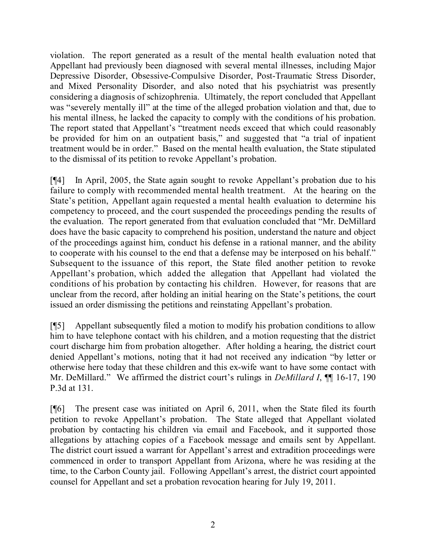violation. The report generated as a result of the mental health evaluation noted that Appellant had previously been diagnosed with several mental illnesses, including Major Depressive Disorder, Obsessive-Compulsive Disorder, Post-Traumatic Stress Disorder, and Mixed Personality Disorder, and also noted that his psychiatrist was presently considering a diagnosis of schizophrenia. Ultimately, the report concluded that Appellant was "severely mentally ill" at the time of the alleged probation violation and that, due to his mental illness, he lacked the capacity to comply with the conditions of his probation. The report stated that Appellant's "treatment needs exceed that which could reasonably be provided for him on an outpatient basis," and suggested that "a trial of inpatient treatment would be in order." Based on the mental health evaluation, the State stipulated to the dismissal of its petition to revoke Appellant's probation.

[¶4] In April, 2005, the State again sought to revoke Appellant's probation due to his failure to comply with recommended mental health treatment. At the hearing on the State's petition, Appellant again requested a mental health evaluation to determine his competency to proceed, and the court suspended the proceedings pending the results of the evaluation. The report generated from that evaluation concluded that "Mr. DeMillard does have the basic capacity to comprehend his position, understand the nature and object of the proceedings against him, conduct his defense in a rational manner, and the ability to cooperate with his counsel to the end that a defense may be interposed on his behalf." Subsequent to the issuance of this report, the State filed another petition to revoke Appellant's probation, which added the allegation that Appellant had violated the conditions of his probation by contacting his children. However, for reasons that are unclear from the record, after holding an initial hearing on the State's petitions, the court issued an order dismissing the petitions and reinstating Appellant's probation.

[¶5] Appellant subsequently filed a motion to modify his probation conditions to allow him to have telephone contact with his children, and a motion requesting that the district court discharge him from probation altogether. After holding a hearing, the district court denied Appellant's motions, noting that it had not received any indication "by letter or otherwise here today that these children and this ex-wife want to have some contact with Mr. DeMillard." We affirmed the district court's rulings in *DeMillard I*,  $\P$  16-17, 190 P.3d at 131.

[¶6] The present case was initiated on April 6, 2011, when the State filed its fourth petition to revoke Appellant's probation. The State alleged that Appellant violated probation by contacting his children via email and Facebook, and it supported those allegations by attaching copies of a Facebook message and emails sent by Appellant. The district court issued a warrant for Appellant's arrest and extradition proceedings were commenced in order to transport Appellant from Arizona, where he was residing at the time, to the Carbon County jail. Following Appellant's arrest, the district court appointed counsel for Appellant and set a probation revocation hearing for July 19, 2011.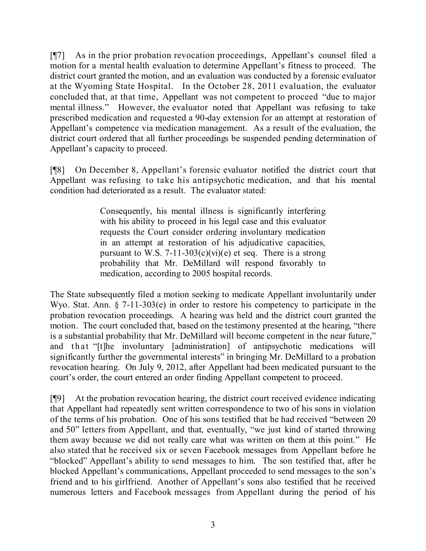[¶7] As in the prior probation revocation proceedings, Appellant's counsel filed a motion for a mental health evaluation to determine Appellant's fitness to proceed. The district court granted the motion, and an evaluation was conducted by a forensic evaluator at the Wyoming State Hospital. In the October 28, 2011 evaluation, the evaluator concluded that, at that time, Appellant was not competent to proceed "due to major mental illness." However, the evaluator noted that Appellant was refusing to take prescribed medication and requested a 90-day extension for an attempt at restoration of Appellant's competence via medication management. As a result of the evaluation, the district court ordered that all further proceedings be suspended pending determination of Appellant's capacity to proceed.

[¶8] On December 8, Appellant's forensic evaluator notified the district court that Appellant was refusing to take his antipsychotic medication, and that his mental condition had deteriorated as a result. The evaluator stated:

> Consequently, his mental illness is significantly interfering with his ability to proceed in his legal case and this evaluator requests the Court consider ordering involuntary medication in an attempt at restoration of his adjudicative capacities, pursuant to W.S. 7-11-303(c)(vi)(e) et seq. There is a strong probability that Mr. DeMillard will respond favorably to medication, according to 2005 hospital records.

The State subsequently filed a motion seeking to medicate Appellant involuntarily under Wyo. Stat. Ann. § 7-11-303(e) in order to restore his competency to participate in the probation revocation proceedings. A hearing was held and the district court granted the motion. The court concluded that, based on the testimony presented at the hearing, "there is a substantial probability that Mr. DeMillard will become competent in the near future," and that "[t]he involuntary [administration] of antipsychotic medications will significantly further the governmental interests" in bringing Mr. DeMillard to a probation revocation hearing. On July 9, 2012, after Appellant had been medicated pursuant to the court's order, the court entered an order finding Appellant competent to proceed.

[¶9] At the probation revocation hearing, the district court received evidence indicating that Appellant had repeatedly sent written correspondence to two of his sons in violation of the terms of his probation. One of his sons testified that he had received "between 20 and 50" letters from Appellant, and that, eventually, "we just kind of started throwing them away because we did not really care what was written on them at this point." He also stated that he received six or seven Facebook messages from Appellant before he "blocked" Appellant's ability to send messages to him. The son testified that, after he blocked Appellant's communications, Appellant proceeded to send messages to the son's friend and to his girlfriend. Another of Appellant's sons also testified that he received numerous letters and Facebook messages from Appellant during the period of his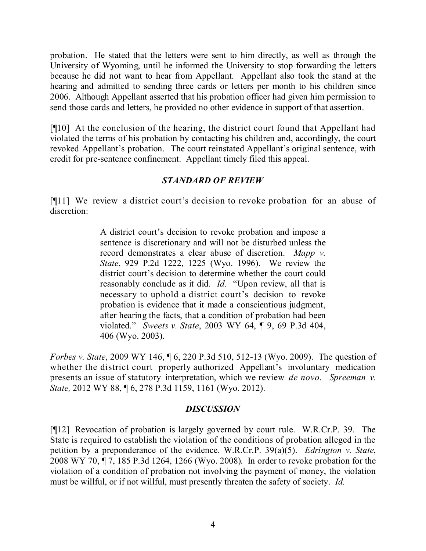probation. He stated that the letters were sent to him directly, as well as through the University of Wyoming, until he informed the University to stop forwarding the letters because he did not want to hear from Appellant. Appellant also took the stand at the hearing and admitted to sending three cards or letters per month to his children since 2006. Although Appellant asserted that his probation officer had given him permission to send those cards and letters, he provided no other evidence in support of that assertion.

[¶10] At the conclusion of the hearing, the district court found that Appellant had violated the terms of his probation by contacting his children and, accordingly, the court revoked Appellant's probation. The court reinstated Appellant's original sentence, with credit for pre-sentence confinement. Appellant timely filed this appeal.

# *STANDARD OF REVIEW*

[¶11] We review a district court's decision to revoke probation for an abuse of discretion:

> A district court's decision to revoke probation and impose a sentence is discretionary and will not be disturbed unless the record demonstrates a clear abuse of discretion. *Mapp v. State*, 929 P.2d 1222, 1225 (Wyo. 1996). We review the district court's decision to determine whether the court could reasonably conclude as it did. *Id.* "Upon review, all that is necessary to uphold a district court's decision to revoke probation is evidence that it made a conscientious judgment, after hearing the facts, that a condition of probation had been violated." *Sweets v. State*, 2003 WY 64, ¶ 9, 69 P.3d 404, 406 (Wyo. 2003).

*Forbes v. State*, 2009 WY 146, ¶ 6, 220 P.3d 510, 512-13 (Wyo. 2009). The question of whether the district court properly authorized Appellant's involuntary medication presents an issue of statutory interpretation, which we review *de novo*. *Spreeman v. State,* 2012 WY 88, ¶ 6, 278 P.3d 1159, 1161 (Wyo. 2012).

## *DISCUSSION*

[¶12] Revocation of probation is largely governed by court rule. W.R.Cr.P. 39. The State is required to establish the violation of the conditions of probation alleged in the petition by a preponderance of the evidence. W.R.Cr.P. 39(a)(5). *Edrington v. State*, 2008 WY 70, ¶ 7, 185 P.3d 1264, 1266 (Wyo. 2008). In order to revoke probation for the violation of a condition of probation not involving the payment of money, the violation must be willful, or if not willful, must presently threaten the safety of society. *Id.*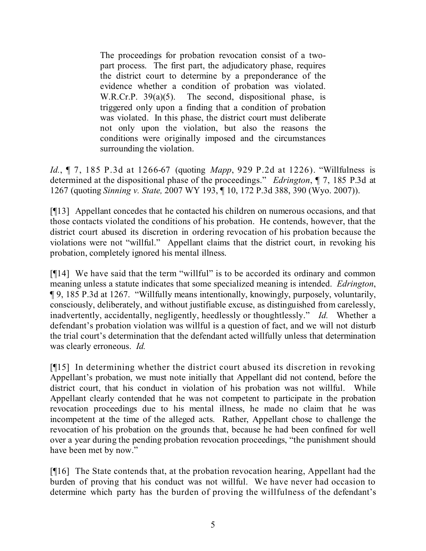The proceedings for probation revocation consist of a twopart process. The first part, the adjudicatory phase, requires the district court to determine by a preponderance of the evidence whether a condition of probation was violated. W.R.Cr.P. 39(a)(5). The second, dispositional phase, is triggered only upon a finding that a condition of probation was violated. In this phase, the district court must deliberate not only upon the violation, but also the reasons the conditions were originally imposed and the circumstances surrounding the violation.

*Id.*, ¶ 7, 185 P.3d at 1266-67 (quoting *Mapp*, 929 P.2d at 1226). "Willfulness is determined at the dispositional phase of the proceedings." *Edrington*, ¶ 7, 185 P.3d at 1267 (quoting *Sinning v. State,* 2007 WY 193, ¶ 10, 172 P.3d 388, 390 (Wyo. 2007)).

[¶13] Appellant concedes that he contacted his children on numerous occasions, and that those contacts violated the conditions of his probation. He contends, however, that the district court abused its discretion in ordering revocation of his probation because the violations were not "willful." Appellant claims that the district court, in revoking his probation, completely ignored his mental illness.

[¶14] We have said that the term "willful" is to be accorded its ordinary and common meaning unless a statute indicates that some specialized meaning is intended. *Edrington*, ¶ 9, 185 P.3d at 1267. "Willfully means intentionally, knowingly, purposely, voluntarily, consciously, deliberately, and without justifiable excuse, as distinguished from carelessly, inadvertently, accidentally, negligently, heedlessly or thoughtlessly." *Id.* Whether a defendant's probation violation was willful is a question of fact, and we will not disturb the trial court's determination that the defendant acted willfully unless that determination was clearly erroneous. *Id.*

[¶15] In determining whether the district court abused its discretion in revoking Appellant's probation, we must note initially that Appellant did not contend, before the district court, that his conduct in violation of his probation was not willful. While Appellant clearly contended that he was not competent to participate in the probation revocation proceedings due to his mental illness, he made no claim that he was incompetent at the time of the alleged acts. Rather, Appellant chose to challenge the revocation of his probation on the grounds that, because he had been confined for well over a year during the pending probation revocation proceedings, "the punishment should have been met by now."

[¶16] The State contends that, at the probation revocation hearing, Appellant had the burden of proving that his conduct was not willful. We have never had occasion to determine which party has the burden of proving the willfulness of the defendant's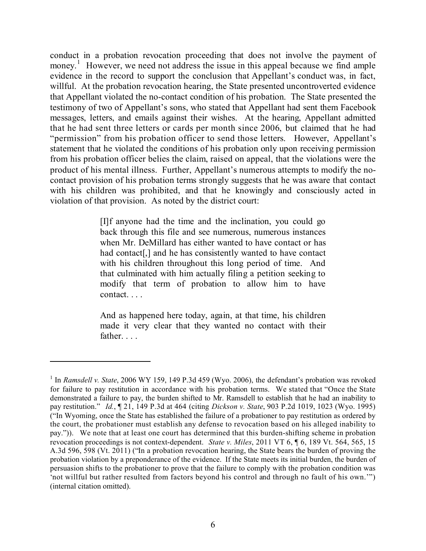conduct in a probation revocation proceeding that does not involve the payment of money.<sup>1</sup> However, we need not address the issue in this appeal because we find ample evidence in the record to support the conclusion that Appellant's conduct was, in fact, willful. At the probation revocation hearing, the State presented uncontroverted evidence that Appellant violated the no-contact condition of his probation. The State presented the testimony of two of Appellant's sons, who stated that Appellant had sent them Facebook messages, letters, and emails against their wishes. At the hearing, Appellant admitted that he had sent three letters or cards per month since 2006, but claimed that he had "permission" from his probation officer to send those letters. However, Appellant's statement that he violated the conditions of his probation only upon receiving permission from his probation officer belies the claim, raised on appeal, that the violations were the product of his mental illness. Further, Appellant's numerous attempts to modify the nocontact provision of his probation terms strongly suggests that he was aware that contact with his children was prohibited, and that he knowingly and consciously acted in violation of that provision. As noted by the district court:

> [I]f anyone had the time and the inclination, you could go back through this file and see numerous, numerous instances when Mr. DeMillard has either wanted to have contact or has had contact<sup>[1]</sup>, and he has consistently wanted to have contact with his children throughout this long period of time. And that culminated with him actually filing a petition seeking to modify that term of probation to allow him to have contact. . . .

> And as happened here today, again, at that time, his children made it very clear that they wanted no contact with their father. . . .

<sup>&</sup>lt;sup>1</sup> In *Ramsdell v. State*, 2006 WY 159, 149 P.3d 459 (Wyo. 2006), the defendant's probation was revoked for failure to pay restitution in accordance with his probation terms. We stated that "Once the State demonstrated a failure to pay, the burden shifted to Mr. Ramsdell to establish that he had an inability to pay restitution." *Id.*, ¶ 21, 149 P.3d at 464 (citing *Dickson v. State*, 903 P.2d 1019, 1023 (Wyo. 1995) ("In Wyoming, once the State has established the failure of a probationer to pay restitution as ordered by the court, the probationer must establish any defense to revocation based on his alleged inability to pay.")). We note that at least one court has determined that this burden-shifting scheme in probation revocation proceedings is not context-dependent. *State v. Miles*, 2011 VT 6, ¶ 6, 189 Vt. 564, 565, 15 A.3d 596, 598 (Vt. 2011) ("In a probation revocation hearing, the State bears the burden of proving the probation violation by a preponderance of the evidence. If the State meets its initial burden, the burden of persuasion shifts to the probationer to prove that the failure to comply with the probation condition was 'not willful but rather resulted from factors beyond his control and through no fault of his own.'") (internal citation omitted).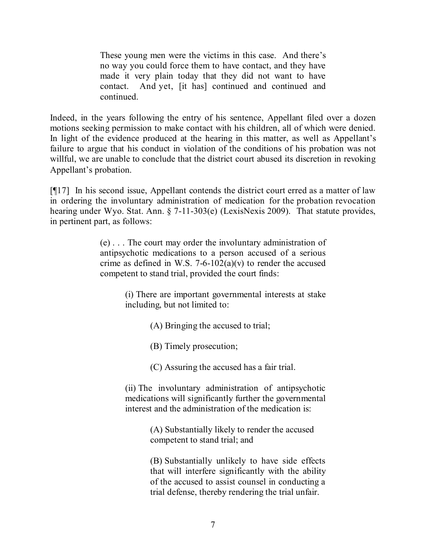These young men were the victims in this case. And there's no way you could force them to have contact, and they have made it very plain today that they did not want to have contact. And yet, [it has] continued and continued and continued.

Indeed, in the years following the entry of his sentence, Appellant filed over a dozen motions seeking permission to make contact with his children, all of which were denied. In light of the evidence produced at the hearing in this matter, as well as Appellant's failure to argue that his conduct in violation of the conditions of his probation was not willful, we are unable to conclude that the district court abused its discretion in revoking Appellant's probation.

[¶17] In his second issue, Appellant contends the district court erred as a matter of law in ordering the involuntary administration of medication for the probation revocation hearing under Wyo. Stat. Ann. § 7-11-303(e) (LexisNexis 2009). That statute provides, in pertinent part, as follows:

> (e) . . . The court may order the involuntary administration of antipsychotic medications to a person accused of a serious crime as defined in W.S. 7-6-102(a)(v) to render the accused competent to stand trial, provided the court finds:

> > (i) There are important governmental interests at stake including, but not limited to:

> > > (A) Bringing the accused to trial;

(B) Timely prosecution;

(C) Assuring the accused has a fair trial.

(ii) The involuntary administration of antipsychotic medications will significantly further the governmental interest and the administration of the medication is:

> (A) Substantially likely to render the accused competent to stand trial; and

(B) Substantially unlikely to have side effects that will interfere significantly with the ability of the accused to assist counsel in conducting a trial defense, thereby rendering the trial unfair.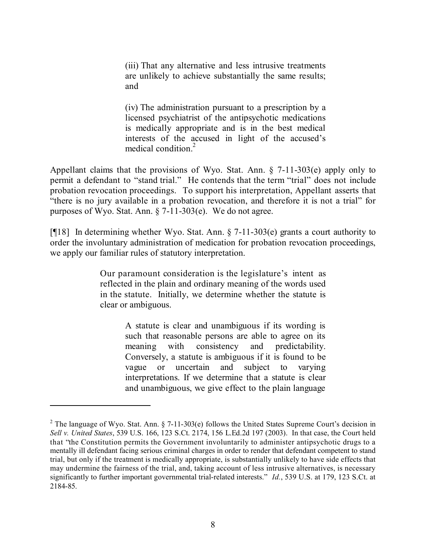(iii) That any alternative and less intrusive treatments are unlikely to achieve substantially the same results; and

(iv) The administration pursuant to a prescription by a licensed psychiatrist of the antipsychotic medications is medically appropriate and is in the best medical interests of the accused in light of the accused's medical condition. 2

Appellant claims that the provisions of Wyo. Stat. Ann. § 7-11-303(e) apply only to permit a defendant to "stand trial." He contends that the term "trial" does not include probation revocation proceedings. To support his interpretation, Appellant asserts that "there is no jury available in a probation revocation, and therefore it is not a trial" for purposes of Wyo. Stat. Ann. § 7-11-303(e). We do not agree.

[¶18] In determining whether Wyo. Stat. Ann. § 7-11-303(e) grants a court authority to order the involuntary administration of medication for probation revocation proceedings, we apply our familiar rules of statutory interpretation.

> Our paramount consideration is the legislature's intent as reflected in the plain and ordinary meaning of the words used in the statute. Initially, we determine whether the statute is clear or ambiguous.

> > A statute is clear and unambiguous if its wording is such that reasonable persons are able to agree on its meaning with consistency and predictability. Conversely, a statute is ambiguous if it is found to be vague or uncertain and subject to varying interpretations. If we determine that a statute is clear and unambiguous, we give effect to the plain language

<sup>&</sup>lt;sup>2</sup> The language of Wyo. Stat. Ann. § 7-11-303(e) follows the United States Supreme Court's decision in *Sell v. United States*, 539 U.S. 166, 123 S.Ct. 2174, 156 L.Ed.2d 197 (2003). In that case, the Court held that "the Constitution permits the Government involuntarily to administer antipsychotic drugs to a mentally ill defendant facing serious criminal charges in order to render that defendant competent to stand trial, but only if the treatment is medically appropriate, is substantially unlikely to have side effects that may undermine the fairness of the trial, and, taking account of less intrusive alternatives, is necessary significantly to further important governmental trial-related interests." *Id.*, 539 U.S. at 179, 123 S.Ct. at 2184-85.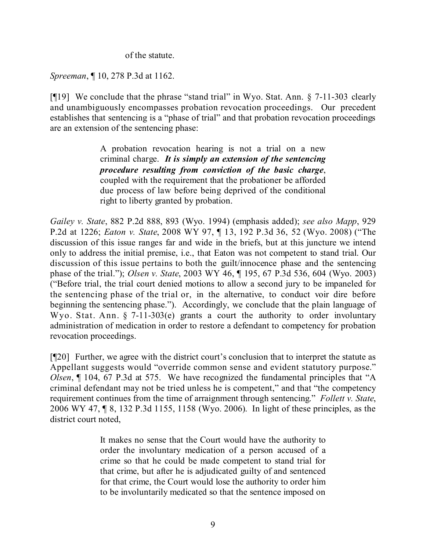of the statute.

*Spreeman*, ¶ 10, 278 P.3d at 1162.

[¶19] We conclude that the phrase "stand trial" in Wyo. Stat. Ann. § 7-11-303 clearly and unambiguously encompasses probation revocation proceedings. Our precedent establishes that sentencing is a "phase of trial" and that probation revocation proceedings are an extension of the sentencing phase:

> A probation revocation hearing is not a trial on a new criminal charge. *It is simply an extension of the sentencing procedure resulting from conviction of the basic charge*, coupled with the requirement that the probationer be afforded due process of law before being deprived of the conditional right to liberty granted by probation.

*Gailey v. State*, 882 P.2d 888, 893 (Wyo. 1994) (emphasis added); *see also Mapp*, 929 P.2d at 1226; *Eaton v. State*, 2008 WY 97, ¶ 13, 192 P.3d 36, 52 (Wyo. 2008) ("The discussion of this issue ranges far and wide in the briefs, but at this juncture we intend only to address the initial premise, i.e., that Eaton was not competent to stand trial. Our discussion of this issue pertains to both the guilt/innocence phase and the sentencing phase of the trial."); *Olsen v. State*, 2003 WY 46, ¶ 195, 67 P.3d 536, 604 (Wyo. 2003) ("Before trial, the trial court denied motions to allow a second jury to be impaneled for the sentencing phase of the trial or, in the alternative, to conduct voir dire before beginning the sentencing phase.").Accordingly, we conclude that the plain language of Wyo. Stat. Ann. § 7-11-303(e) grants a court the authority to order involuntary administration of medication in order to restore a defendant to competency for probation revocation proceedings.

[¶20] Further, we agree with the district court's conclusion that to interpret the statute as Appellant suggests would "override common sense and evident statutory purpose." *Olsen*, ¶ 104, 67 P.3d at 575. We have recognized the fundamental principles that "A criminal defendant may not be tried unless he is competent," and that "the competency requirement continues from the time of arraignment through sentencing." *Follett v. State*, 2006 WY 47, ¶ 8, 132 P.3d 1155, 1158 (Wyo. 2006). In light of these principles, as the district court noted,

> It makes no sense that the Court would have the authority to order the involuntary medication of a person accused of a crime so that he could be made competent to stand trial for that crime, but after he is adjudicated guilty of and sentenced for that crime, the Court would lose the authority to order him to be involuntarily medicated so that the sentence imposed on